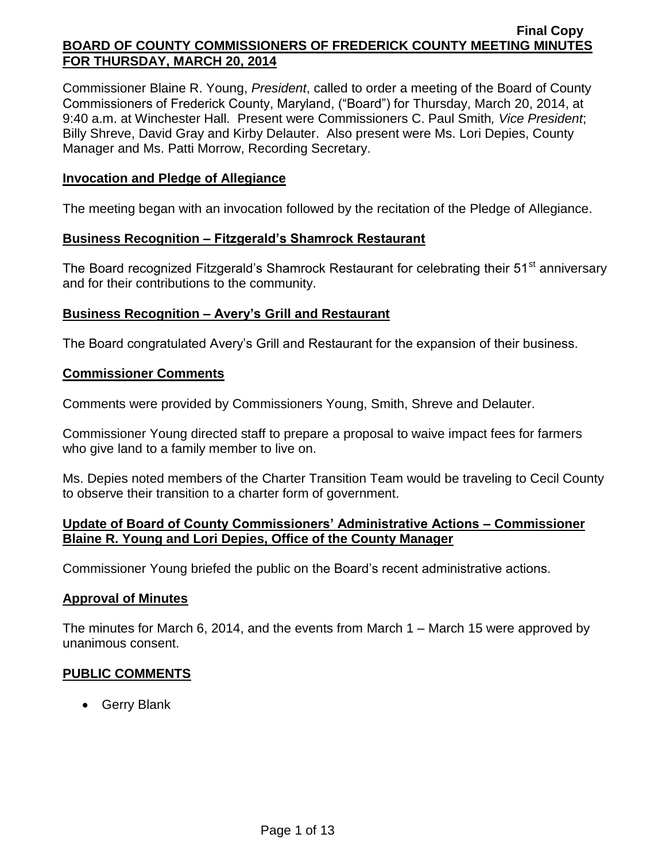Commissioner Blaine R. Young, *President*, called to order a meeting of the Board of County Commissioners of Frederick County, Maryland, ("Board") for Thursday, March 20, 2014, at 9:40 a.m. at Winchester Hall. Present were Commissioners C. Paul Smith*, Vice President*; Billy Shreve, David Gray and Kirby Delauter. Also present were Ms. Lori Depies, County Manager and Ms. Patti Morrow, Recording Secretary.

## **Invocation and Pledge of Allegiance**

The meeting began with an invocation followed by the recitation of the Pledge of Allegiance.

## **Business Recognition – Fitzgerald's Shamrock Restaurant**

The Board recognized Fitzgerald's Shamrock Restaurant for celebrating their 51<sup>st</sup> anniversary and for their contributions to the community.

## **Business Recognition – Avery's Grill and Restaurant**

The Board congratulated Avery's Grill and Restaurant for the expansion of their business.

### **Commissioner Comments**

Comments were provided by Commissioners Young, Smith, Shreve and Delauter.

Commissioner Young directed staff to prepare a proposal to waive impact fees for farmers who give land to a family member to live on.

Ms. Depies noted members of the Charter Transition Team would be traveling to Cecil County to observe their transition to a charter form of government.

## **Update of Board of County Commissioners' Administrative Actions – Commissioner Blaine R. Young and Lori Depies, Office of the County Manager**

Commissioner Young briefed the public on the Board's recent administrative actions.

### **Approval of Minutes**

The minutes for March 6, 2014, and the events from March 1 – March 15 were approved by unanimous consent.

### **PUBLIC COMMENTS**

• Gerry Blank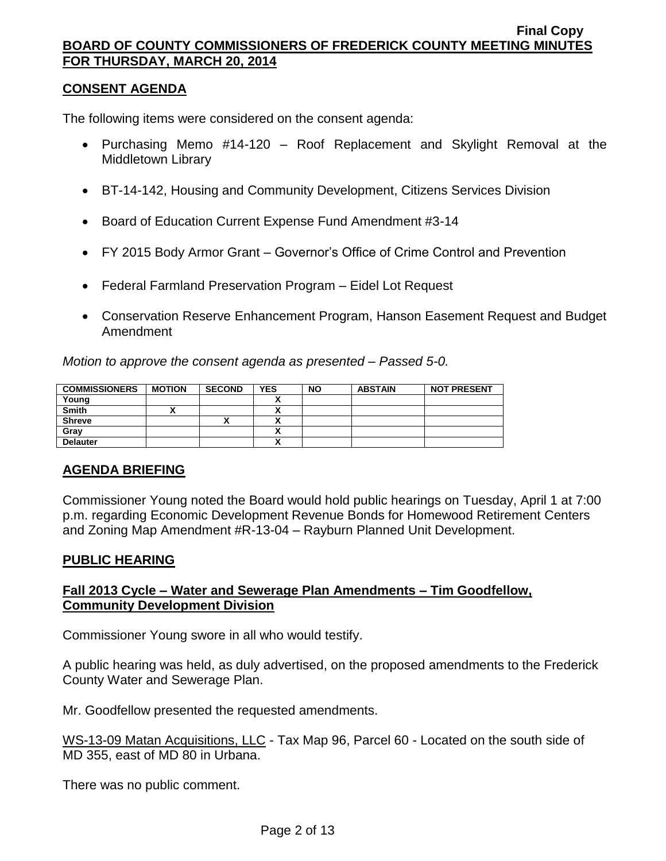## **CONSENT AGENDA**

The following items were considered on the consent agenda:

- Purchasing Memo #14-120 Roof Replacement and Skylight Removal at the Middletown Library
- BT-14-142, Housing and Community Development, Citizens Services Division
- Board of Education Current Expense Fund Amendment #3-14
- FY 2015 Body Armor Grant Governor's Office of Crime Control and Prevention
- Federal Farmland Preservation Program Eidel Lot Request
- Conservation Reserve Enhancement Program, Hanson Easement Request and Budget Amendment

*Motion to approve the consent agenda as presented – Passed 5-0.*

| <b>COMMISSIONERS</b> | <b>MOTION</b> | <b>SECOND</b> | <b>YES</b> | <b>NO</b> | <b>ABSTAIN</b> | <b>NOT PRESENT</b> |
|----------------------|---------------|---------------|------------|-----------|----------------|--------------------|
| Young                |               |               |            |           |                |                    |
| Smith                |               |               |            |           |                |                    |
| <b>Shreve</b>        |               |               | ٠.<br>^    |           |                |                    |
| Gray                 |               |               | ^          |           |                |                    |
| <b>Delauter</b>      |               |               | ٠.<br>Λ    |           |                |                    |

# **AGENDA BRIEFING**

Commissioner Young noted the Board would hold public hearings on Tuesday, April 1 at 7:00 p.m. regarding Economic Development Revenue Bonds for Homewood Retirement Centers and Zoning Map Amendment #R-13-04 – Rayburn Planned Unit Development.

# **PUBLIC HEARING**

# **Fall 2013 Cycle – Water and Sewerage Plan Amendments – Tim Goodfellow, Community Development Division**

Commissioner Young swore in all who would testify.

A public hearing was held, as duly advertised, on the proposed amendments to the Frederick County Water and Sewerage Plan.

Mr. Goodfellow presented the requested amendments.

WS-13-09 Matan Acquisitions, LLC - Tax Map 96, Parcel 60 - Located on the south side of MD 355, east of MD 80 in Urbana.

There was no public comment.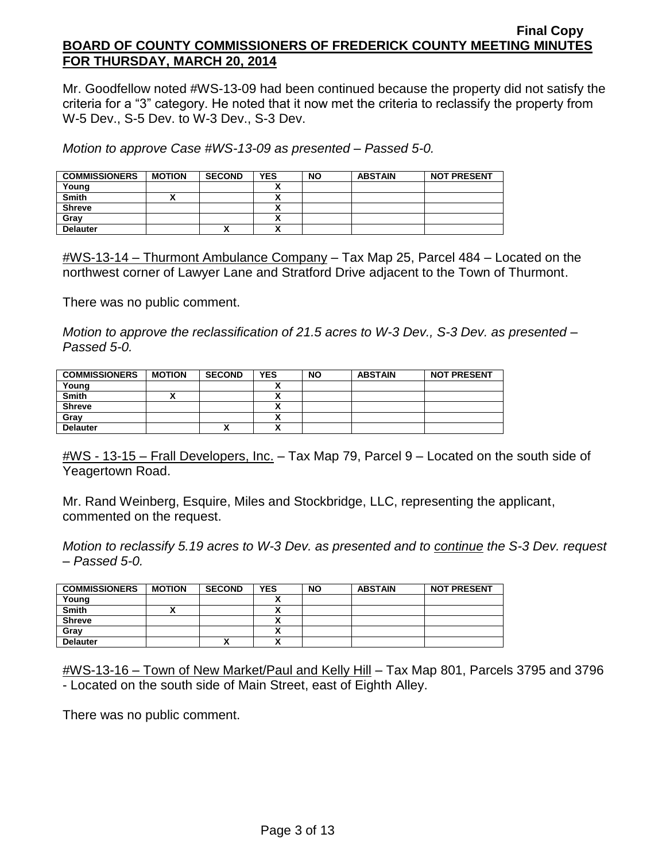Mr. Goodfellow noted #WS-13-09 had been continued because the property did not satisfy the criteria for a "3" category. He noted that it now met the criteria to reclassify the property from W-5 Dev., S-5 Dev. to W-3 Dev., S-3 Dev.

*Motion to approve Case #WS-13-09 as presented – Passed 5-0.*

| <b>COMMISSIONERS</b> | <b>MOTION</b> | <b>SECOND</b> | <b>YES</b> | <b>NO</b> | <b>ABSTAIN</b> | <b>NOT PRESENT</b> |
|----------------------|---------------|---------------|------------|-----------|----------------|--------------------|
| Young                |               |               | ,,         |           |                |                    |
| <b>Smith</b>         |               |               | ,,         |           |                |                    |
| <b>Shreve</b>        |               |               | ~          |           |                |                    |
| Grav                 |               |               | ↗          |           |                |                    |
| <b>Delauter</b>      |               |               | n          |           |                |                    |

 $\#WS-13-14$  – Thurmont Ambulance Company – Tax Map 25, Parcel 484 – Located on the northwest corner of Lawyer Lane and Stratford Drive adjacent to the Town of Thurmont.

There was no public comment.

*Motion to approve the reclassification of 21.5 acres to W-3 Dev., S-3 Dev. as presented – Passed 5-0.*

| <b>COMMISSIONERS</b> | <b>MOTION</b> | <b>SECOND</b> | <b>YES</b> | <b>NO</b> | <b>ABSTAIN</b> | <b>NOT PRESENT</b> |
|----------------------|---------------|---------------|------------|-----------|----------------|--------------------|
| Young                |               |               |            |           |                |                    |
| <b>Smith</b>         |               |               |            |           |                |                    |
| <b>Shreve</b>        |               |               |            |           |                |                    |
| Gray                 |               |               | ~          |           |                |                    |
| <b>Delauter</b>      |               | "             | n          |           |                |                    |

#WS - 13-15 – Frall Developers, Inc. – Tax Map 79, Parcel 9 – Located on the south side of Yeagertown Road.

Mr. Rand Weinberg, Esquire, Miles and Stockbridge, LLC, representing the applicant, commented on the request.

*Motion to reclassify 5.19 acres to W-3 Dev. as presented and to continue the S-3 Dev. request – Passed 5-0.*

| <b>COMMISSIONERS</b> | <b>MOTION</b> | <b>SECOND</b> | <b>YES</b>                | <b>NO</b> | <b>ABSTAIN</b> | <b>NOT PRESENT</b> |
|----------------------|---------------|---------------|---------------------------|-----------|----------------|--------------------|
| Young                |               |               |                           |           |                |                    |
| <b>Smith</b>         |               |               | ^                         |           |                |                    |
| <b>Shreve</b>        |               |               | Λ                         |           |                |                    |
| Grav                 |               |               | Λ                         |           |                |                    |
| <b>Delauter</b>      |               |               | $\ddot{\phantom{1}}$<br>^ |           |                |                    |

#WS-13-16 – Town of New Market/Paul and Kelly Hill – Tax Map 801, Parcels 3795 and 3796 - Located on the south side of Main Street, east of Eighth Alley.

There was no public comment.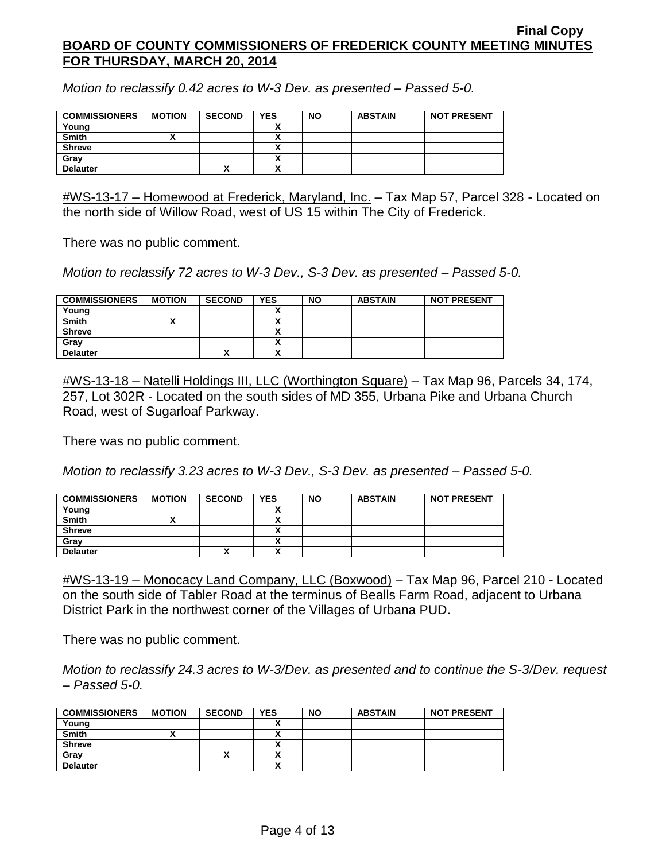*Motion to reclassify 0.42 acres to W-3 Dev. as presented – Passed 5-0.*

| <b>COMMISSIONERS</b> | <b>MOTION</b> | <b>SECOND</b> | <b>YES</b> | <b>NO</b> | <b>ABSTAIN</b> | <b>NOT PRESENT</b> |
|----------------------|---------------|---------------|------------|-----------|----------------|--------------------|
| Young                |               |               |            |           |                |                    |
| <b>Smith</b>         |               |               |            |           |                |                    |
| <b>Shreve</b>        |               |               |            |           |                |                    |
| Gray                 |               |               |            |           |                |                    |
| <b>Delauter</b>      |               | $\mathbf{v}$  |            |           |                |                    |

#WS-13-17 – Homewood at Frederick, Maryland, Inc. – Tax Map 57, Parcel 328 - Located on the north side of Willow Road, west of US 15 within The City of Frederick.

There was no public comment.

*Motion to reclassify 72 acres to W-3 Dev., S-3 Dev. as presented – Passed 5-0.*

| <b>COMMISSIONERS</b> | <b>MOTION</b> | <b>SECOND</b> | YES     | <b>NO</b> | <b>ABSTAIN</b> | <b>NOT PRESENT</b> |
|----------------------|---------------|---------------|---------|-----------|----------------|--------------------|
| Young                |               |               |         |           |                |                    |
| <b>Smith</b>         |               |               |         |           |                |                    |
| <b>Shreve</b>        |               |               | Λ       |           |                |                    |
| Grav                 |               |               | ۰.<br>Λ |           |                |                    |
| <b>Delauter</b>      |               | $\mathbf{v}$  | v<br>Λ  |           |                |                    |

#WS-13-18 – Natelli Holdings III, LLC (Worthington Square) – Tax Map 96, Parcels 34, 174, 257, Lot 302R - Located on the south sides of MD 355, Urbana Pike and Urbana Church Road, west of Sugarloaf Parkway.

There was no public comment.

*Motion to reclassify 3.23 acres to W-3 Dev., S-3 Dev. as presented – Passed 5-0.*

| <b>COMMISSIONERS</b> | <b>MOTION</b> | <b>SECOND</b> | <b>YES</b> | <b>NO</b> | <b>ABSTAIN</b> | <b>NOT PRESENT</b> |
|----------------------|---------------|---------------|------------|-----------|----------------|--------------------|
| Young                |               |               |            |           |                |                    |
| <b>Smith</b>         |               |               | ~          |           |                |                    |
| <b>Shreve</b>        |               |               | ^          |           |                |                    |
| Gray                 |               |               | Λ          |           |                |                    |
| <b>Delauter</b>      |               | $\mathbf{v}$  | v<br>^     |           |                |                    |

#WS-13-19 – Monocacy Land Company, LLC (Boxwood) – Tax Map 96, Parcel 210 - Located on the south side of Tabler Road at the terminus of Bealls Farm Road, adjacent to Urbana District Park in the northwest corner of the Villages of Urbana PUD.

There was no public comment.

*Motion to reclassify 24.3 acres to W-3/Dev. as presented and to continue the S-3/Dev. request – Passed 5-0.*

| <b>COMMISSIONERS</b> | <b>MOTION</b> | <b>SECOND</b> | <b>YES</b>               | <b>NO</b> | <b>ABSTAIN</b> | <b>NOT PRESENT</b> |
|----------------------|---------------|---------------|--------------------------|-----------|----------------|--------------------|
| Young                |               |               |                          |           |                |                    |
| <b>Smith</b>         |               |               |                          |           |                |                    |
| <b>Shreve</b>        |               |               |                          |           |                |                    |
| Gray                 |               | Λ             | $\overline{\phantom{a}}$ |           |                |                    |
| <b>Delauter</b>      |               |               |                          |           |                |                    |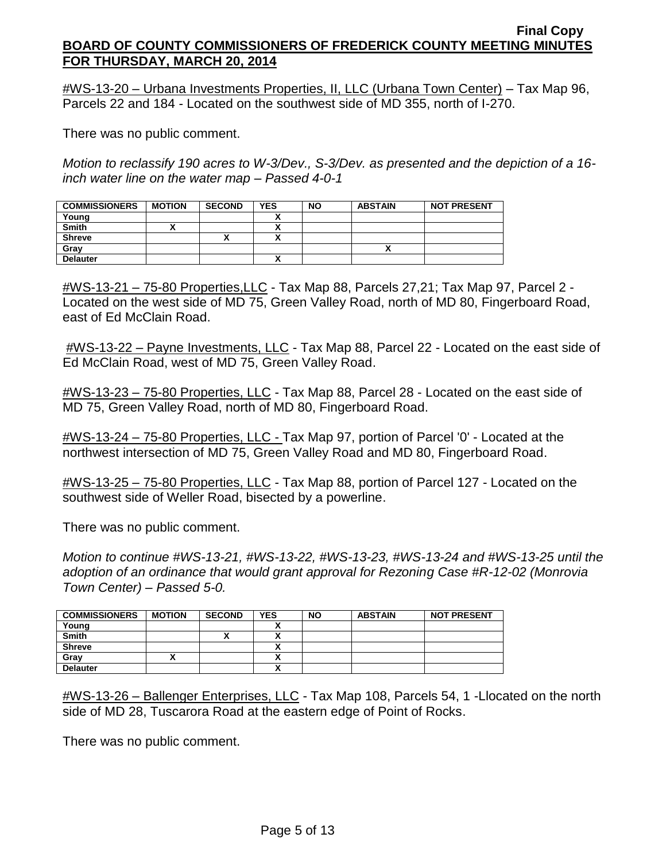#WS-13-20 – Urbana Investments Properties, II, LLC (Urbana Town Center) – Tax Map 96, Parcels 22 and 184 - Located on the southwest side of MD 355, north of I-270.

There was no public comment.

*Motion to reclassify 190 acres to W-3/Dev., S-3/Dev. as presented and the depiction of a 16 inch water line on the water map – Passed 4-0-1*

| <b>COMMISSIONERS</b> | <b>MOTION</b> | <b>SECOND</b> | <b>YES</b> | <b>NO</b> | <b>ABSTAIN</b> | <b>NOT PRESENT</b> |
|----------------------|---------------|---------------|------------|-----------|----------------|--------------------|
| Young                |               |               |            |           |                |                    |
| <b>Smith</b>         |               |               |            |           |                |                    |
| <b>Shreve</b>        |               |               |            |           |                |                    |
| Gray                 |               |               |            |           |                |                    |
| <b>Delauter</b>      |               |               |            |           |                |                    |

#WS-13-21 – 75-80 Properties,LLC - Tax Map 88, Parcels 27,21; Tax Map 97, Parcel 2 - Located on the west side of MD 75, Green Valley Road, north of MD 80, Fingerboard Road, east of Ed McClain Road.

#WS-13-22 – Payne Investments, LLC - Tax Map 88, Parcel 22 - Located on the east side of Ed McClain Road, west of MD 75, Green Valley Road.

#WS-13-23 – 75-80 Properties, LLC - Tax Map 88, Parcel 28 - Located on the east side of MD 75, Green Valley Road, north of MD 80, Fingerboard Road.

#WS-13-24 – 75-80 Properties, LLC - Tax Map 97, portion of Parcel '0' - Located at the northwest intersection of MD 75, Green Valley Road and MD 80, Fingerboard Road.

#WS-13-25 – 75-80 Properties, LLC - Tax Map 88, portion of Parcel 127 - Located on the southwest side of Weller Road, bisected by a powerline.

There was no public comment.

*Motion to continue #WS-13-21, #WS-13-22, #WS-13-23, #WS-13-24 and #WS-13-25 until the adoption of an ordinance that would grant approval for Rezoning Case #R-12-02 (Monrovia Town Center) – Passed 5-0.*

| <b>COMMISSIONERS</b> | <b>MOTION</b> | <b>SECOND</b> | <b>YES</b> | <b>NO</b> | <b>ABSTAIN</b> | <b>NOT PRESENT</b> |
|----------------------|---------------|---------------|------------|-----------|----------------|--------------------|
| Young                |               |               |            |           |                |                    |
| <b>Smith</b>         |               | "             |            |           |                |                    |
| <b>Shreve</b>        |               |               |            |           |                |                    |
| Gray                 |               |               | ٠.<br>^    |           |                |                    |
| <b>Delauter</b>      |               |               | ~          |           |                |                    |

#WS-13-26 – Ballenger Enterprises, LLC - Tax Map 108, Parcels 54, 1 -Llocated on the north side of MD 28, Tuscarora Road at the eastern edge of Point of Rocks.

There was no public comment.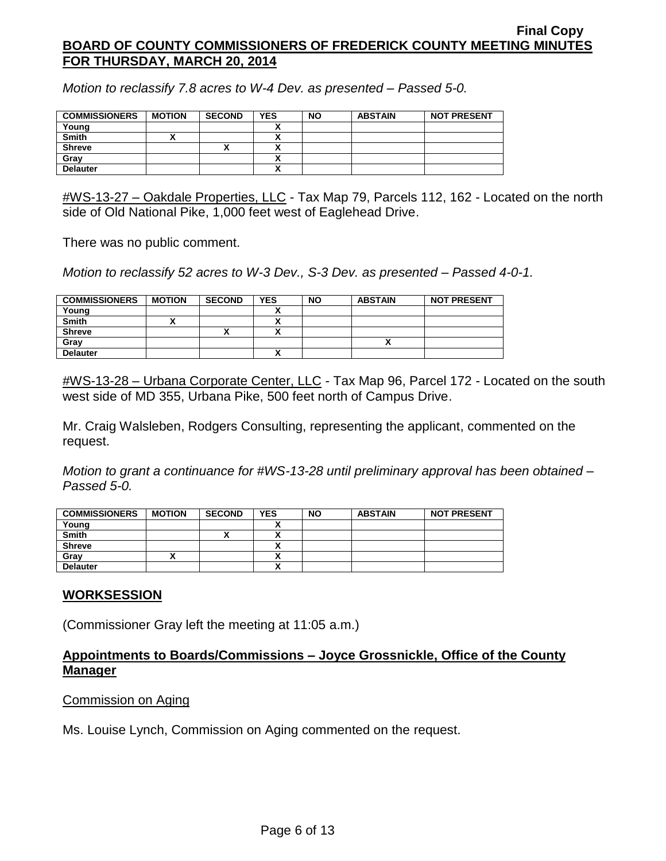*Motion to reclassify 7.8 acres to W-4 Dev. as presented – Passed 5-0.*

| <b>COMMISSIONERS</b> | <b>MOTION</b> | <b>SECOND</b> | <b>YES</b> | <b>NO</b> | <b>ABSTAIN</b> | <b>NOT PRESENT</b> |
|----------------------|---------------|---------------|------------|-----------|----------------|--------------------|
| Young                |               |               |            |           |                |                    |
| <b>Smith</b>         |               |               |            |           |                |                    |
| <b>Shreve</b>        |               | ,,            |            |           |                |                    |
| Grav                 |               |               |            |           |                |                    |
| <b>Delauter</b>      |               |               |            |           |                |                    |

#WS-13-27 – Oakdale Properties, LLC - Tax Map 79, Parcels 112, 162 - Located on the north side of Old National Pike, 1,000 feet west of Eaglehead Drive.

There was no public comment.

*Motion to reclassify 52 acres to W-3 Dev., S-3 Dev. as presented – Passed 4-0-1.*

| <b>COMMISSIONERS</b> | <b>MOTION</b> | <b>SECOND</b> | <b>YES</b> | <b>NO</b> | <b>ABSTAIN</b> | <b>NOT PRESENT</b> |
|----------------------|---------------|---------------|------------|-----------|----------------|--------------------|
| Young                |               |               | ~          |           |                |                    |
| <b>Smith</b>         |               |               |            |           |                |                    |
| <b>Shreve</b>        |               | "             | Δ          |           |                |                    |
| Grav                 |               |               |            |           |                |                    |
| <b>Delauter</b>      |               |               | ~          |           |                |                    |

#WS-13-28 – Urbana Corporate Center, LLC - Tax Map 96, Parcel 172 - Located on the south west side of MD 355, Urbana Pike, 500 feet north of Campus Drive.

Mr. Craig Walsleben, Rodgers Consulting, representing the applicant, commented on the request.

*Motion to grant a continuance for #WS-13-28 until preliminary approval has been obtained – Passed 5-0.*

| <b>COMMISSIONERS</b> | <b>MOTION</b> | <b>SECOND</b> | <b>YES</b> | <b>NO</b> | <b>ABSTAIN</b> | <b>NOT PRESENT</b> |
|----------------------|---------------|---------------|------------|-----------|----------------|--------------------|
| Young                |               |               |            |           |                |                    |
| <b>Smith</b>         |               | ~             | ^          |           |                |                    |
| <b>Shreve</b>        |               |               |            |           |                |                    |
| Gray                 |               |               |            |           |                |                    |
| <b>Delauter</b>      |               |               | <br>^      |           |                |                    |

# **WORKSESSION**

(Commissioner Gray left the meeting at 11:05 a.m.)

# **Appointments to Boards/Commissions – Joyce Grossnickle, Office of the County Manager**

### Commission on Aging

Ms. Louise Lynch, Commission on Aging commented on the request.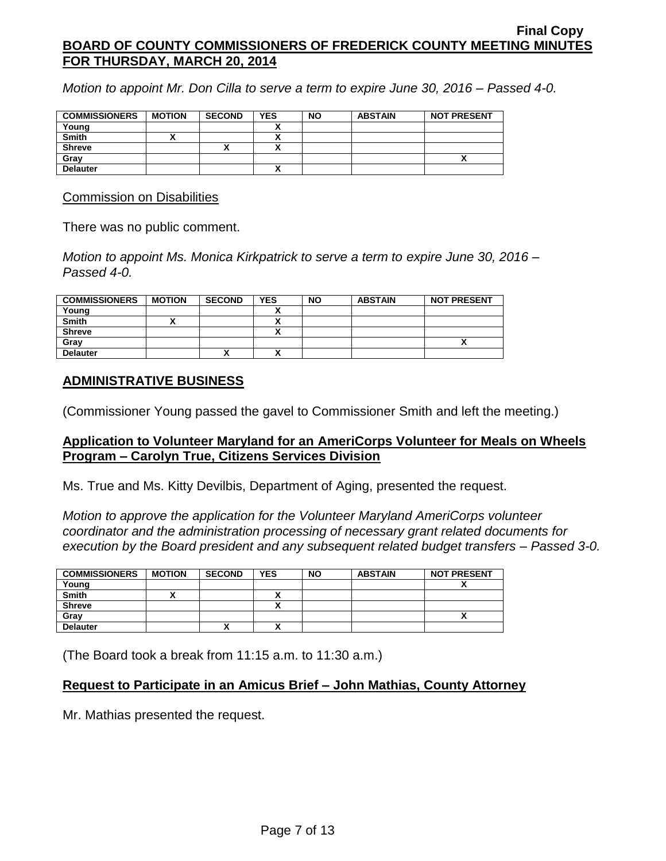*Motion to appoint Mr. Don Cilla to serve a term to expire June 30, 2016 – Passed 4-0.*

| <b>COMMISSIONERS</b> | <b>MOTION</b> | <b>SECOND</b> | <b>YES</b> | <b>NO</b> | <b>ABSTAIN</b> | <b>NOT PRESENT</b> |
|----------------------|---------------|---------------|------------|-----------|----------------|--------------------|
| Young                |               |               |            |           |                |                    |
| <b>Smith</b>         |               |               |            |           |                |                    |
| <b>Shreve</b>        |               | "             |            |           |                |                    |
| Gray                 |               |               |            |           |                |                    |
| <b>Delauter</b>      |               |               |            |           |                |                    |

Commission on Disabilities

There was no public comment.

*Motion to appoint Ms. Monica Kirkpatrick to serve a term to expire June 30, 2016 – Passed 4-0.*

| <b>COMMISSIONERS</b> | <b>MOTION</b> | <b>SECOND</b> | <b>YES</b> | <b>NO</b> | <b>ABSTAIN</b> | <b>NOT PRESENT</b> |
|----------------------|---------------|---------------|------------|-----------|----------------|--------------------|
| Young                |               |               |            |           |                |                    |
| <b>Smith</b>         |               |               |            |           |                |                    |
| <b>Shreve</b>        |               |               |            |           |                |                    |
| Grav                 |               |               |            |           |                |                    |
| <b>Delauter</b>      |               |               |            |           |                |                    |

# **ADMINISTRATIVE BUSINESS**

(Commissioner Young passed the gavel to Commissioner Smith and left the meeting.)

## **Application to Volunteer Maryland for an AmeriCorps Volunteer for Meals on Wheels Program – Carolyn True, Citizens Services Division**

Ms. True and Ms. Kitty Devilbis, Department of Aging, presented the request.

*Motion to approve the application for the Volunteer Maryland AmeriCorps volunteer coordinator and the administration processing of necessary grant related documents for execution by the Board president and any subsequent related budget transfers – Passed 3-0.*

| <b>COMMISSIONERS</b> | <b>MOTION</b> | <b>SECOND</b> | <b>YES</b> | <b>NO</b> | <b>ABSTAIN</b> | <b>NOT PRESENT</b> |
|----------------------|---------------|---------------|------------|-----------|----------------|--------------------|
| Young                |               |               |            |           |                |                    |
| <b>Smith</b>         |               |               |            |           |                |                    |
| <b>Shreve</b>        |               |               |            |           |                |                    |
| Gray                 |               |               |            |           |                | ~                  |
| <b>Delauter</b>      |               |               |            |           |                |                    |

(The Board took a break from 11:15 a.m. to 11:30 a.m.)

# **Request to Participate in an Amicus Brief – John Mathias, County Attorney**

Mr. Mathias presented the request.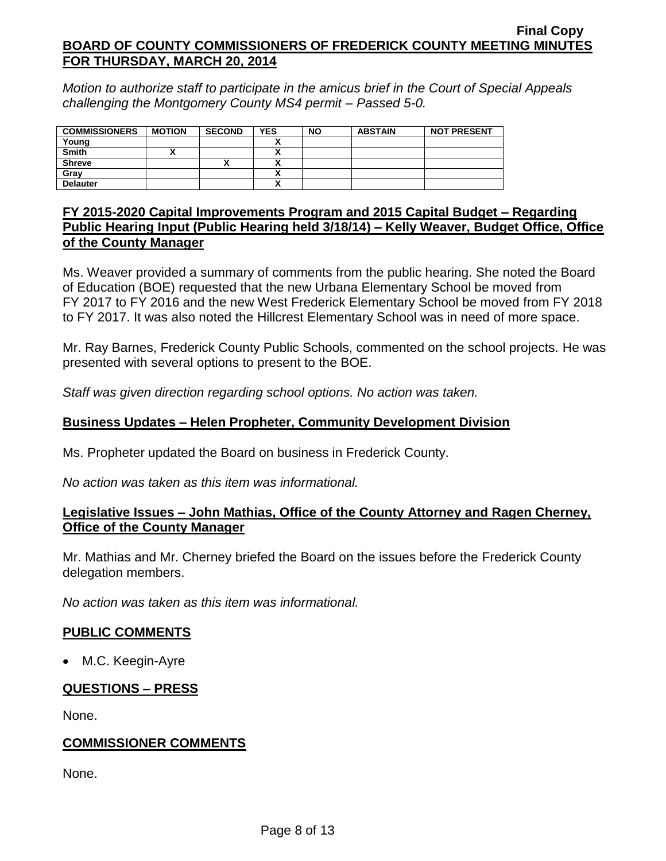*Motion to authorize staff to participate in the amicus brief in the Court of Special Appeals challenging the Montgomery County MS4 permit – Passed 5-0.*

| <b>COMMISSIONERS</b> | <b>MOTION</b> | <b>SECOND</b> | <b>YES</b> | <b>NO</b> | <b>ABSTAIN</b> | <b>NOT PRESENT</b> |
|----------------------|---------------|---------------|------------|-----------|----------------|--------------------|
| Young                |               |               |            |           |                |                    |
| <b>Smith</b>         |               |               |            |           |                |                    |
| <b>Shreve</b>        |               | ↗             |            |           |                |                    |
| Grav                 |               |               |            |           |                |                    |
| <b>Delauter</b>      |               |               |            |           |                |                    |

## **FY 2015-2020 Capital Improvements Program and 2015 Capital Budget – Regarding Public Hearing Input (Public Hearing held 3/18/14) – Kelly Weaver, Budget Office, Office of the County Manager**

Ms. Weaver provided a summary of comments from the public hearing. She noted the Board of Education (BOE) requested that the new Urbana Elementary School be moved from FY 2017 to FY 2016 and the new West Frederick Elementary School be moved from FY 2018 to FY 2017. It was also noted the Hillcrest Elementary School was in need of more space.

Mr. Ray Barnes, Frederick County Public Schools, commented on the school projects. He was presented with several options to present to the BOE.

*Staff was given direction regarding school options. No action was taken.*

# **Business Updates – Helen Propheter, Community Development Division**

Ms. Propheter updated the Board on business in Frederick County.

*No action was taken as this item was informational.*

# **Legislative Issues – John Mathias, Office of the County Attorney and Ragen Cherney, Office of the County Manager**

Mr. Mathias and Mr. Cherney briefed the Board on the issues before the Frederick County delegation members.

*No action was taken as this item was informational.*

# **PUBLIC COMMENTS**

• M.C. Keegin-Ayre

# **QUESTIONS – PRESS**

None.

# **COMMISSIONER COMMENTS**

None.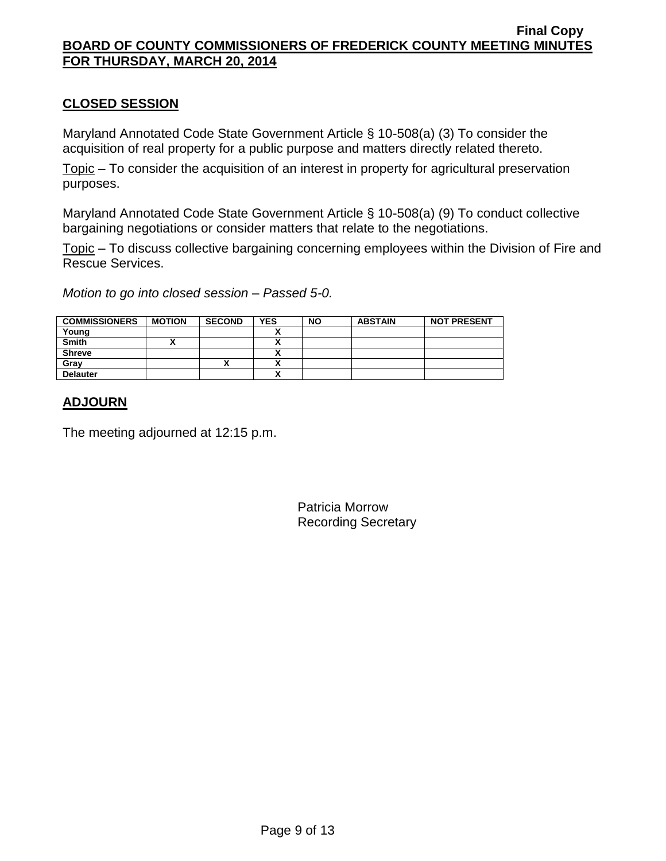# **CLOSED SESSION**

Maryland Annotated Code State Government Article § 10-508(a) (3) To consider the acquisition of real property for a public purpose and matters directly related thereto.

Topic – To consider the acquisition of an interest in property for agricultural preservation purposes.

Maryland Annotated Code State Government Article § 10-508(a) (9) To conduct collective bargaining negotiations or consider matters that relate to the negotiations.

Topic – To discuss collective bargaining concerning employees within the Division of Fire and Rescue Services.

*Motion to go into closed session – Passed 5-0.*

| <b>COMMISSIONERS</b> | <b>MOTION</b> | <b>SECOND</b> | <b>YES</b> | <b>NO</b> | <b>ABSTAIN</b> | <b>NOT PRESENT</b> |
|----------------------|---------------|---------------|------------|-----------|----------------|--------------------|
| Young                |               |               |            |           |                |                    |
| <b>Smith</b>         |               |               |            |           |                |                    |
| <b>Shreve</b>        |               |               |            |           |                |                    |
| Grav                 |               | ^             |            |           |                |                    |
| <b>Delauter</b>      |               |               |            |           |                |                    |

# **ADJOURN**

The meeting adjourned at 12:15 p.m.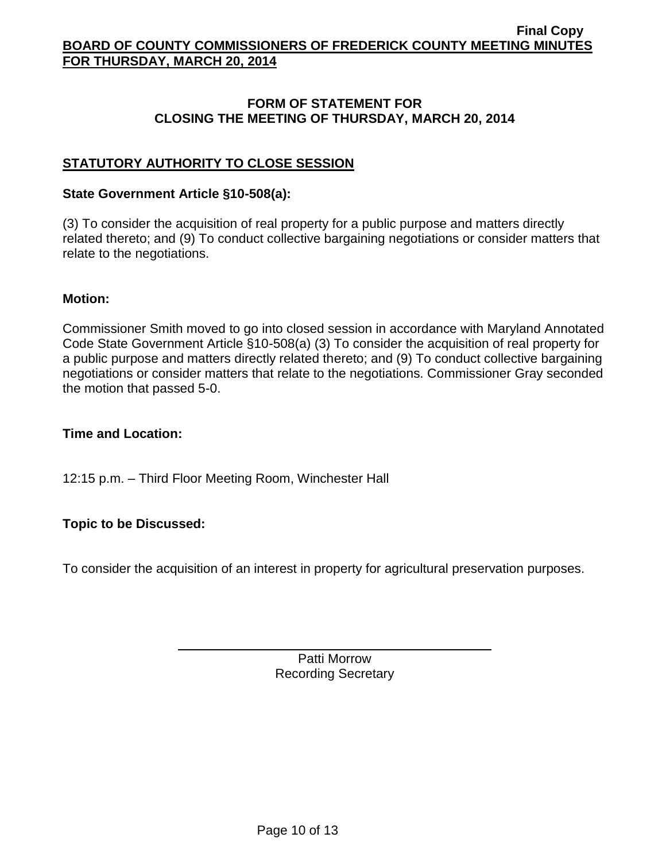# **FORM OF STATEMENT FOR CLOSING THE MEETING OF THURSDAY, MARCH 20, 2014**

# **STATUTORY AUTHORITY TO CLOSE SESSION**

### **State Government Article §10-508(a):**

(3) To consider the acquisition of real property for a public purpose and matters directly related thereto; and (9) To conduct collective bargaining negotiations or consider matters that relate to the negotiations.

### **Motion:**

Commissioner Smith moved to go into closed session in accordance with Maryland Annotated Code State Government Article §10-508(a) (3) To consider the acquisition of real property for a public purpose and matters directly related thereto; and (9) To conduct collective bargaining negotiations or consider matters that relate to the negotiations. Commissioner Gray seconded the motion that passed 5-0.

## **Time and Location:**

12:15 p.m. – Third Floor Meeting Room, Winchester Hall

# **Topic to be Discussed:**

To consider the acquisition of an interest in property for agricultural preservation purposes.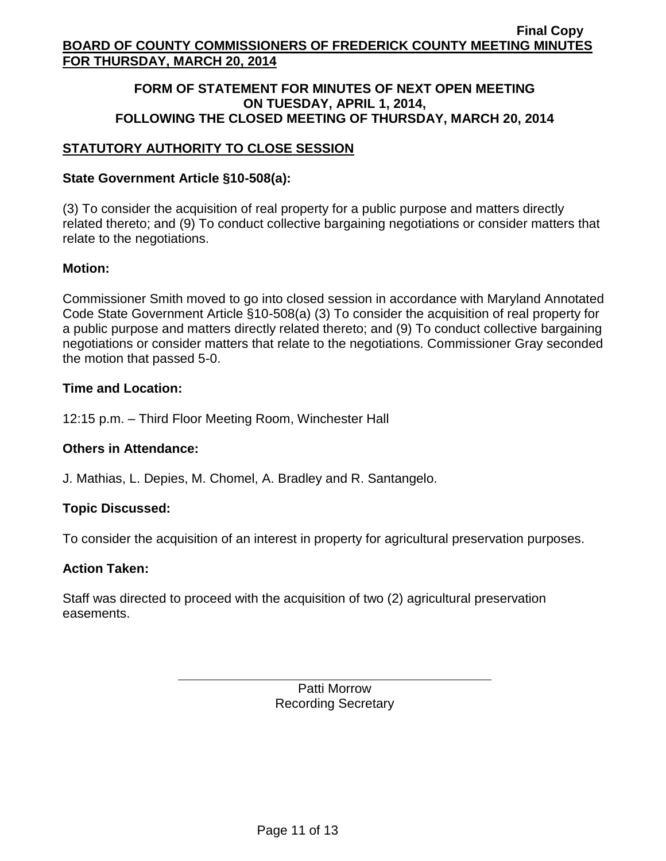# **FORM OF STATEMENT FOR MINUTES OF NEXT OPEN MEETING ON TUESDAY, APRIL 1, 2014, FOLLOWING THE CLOSED MEETING OF THURSDAY, MARCH 20, 2014**

# **STATUTORY AUTHORITY TO CLOSE SESSION**

# **State Government Article §10-508(a):**

(3) To consider the acquisition of real property for a public purpose and matters directly related thereto; and (9) To conduct collective bargaining negotiations or consider matters that relate to the negotiations.

# **Motion:**

Commissioner Smith moved to go into closed session in accordance with Maryland Annotated Code State Government Article §10-508(a) (3) To consider the acquisition of real property for a public purpose and matters directly related thereto; and (9) To conduct collective bargaining negotiations or consider matters that relate to the negotiations. Commissioner Gray seconded the motion that passed 5-0.

# **Time and Location:**

12:15 p.m. – Third Floor Meeting Room, Winchester Hall

# **Others in Attendance:**

J. Mathias, L. Depies, M. Chomel, A. Bradley and R. Santangelo.

# **Topic Discussed:**

To consider the acquisition of an interest in property for agricultural preservation purposes.

# **Action Taken:**

Staff was directed to proceed with the acquisition of two (2) agricultural preservation easements.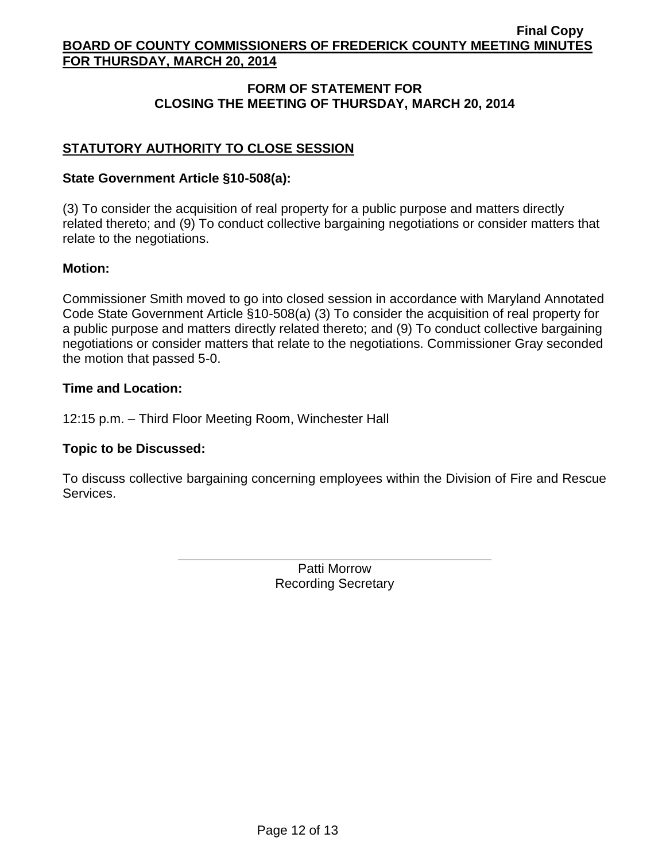# **FORM OF STATEMENT FOR CLOSING THE MEETING OF THURSDAY, MARCH 20, 2014**

# **STATUTORY AUTHORITY TO CLOSE SESSION**

## **State Government Article §10-508(a):**

(3) To consider the acquisition of real property for a public purpose and matters directly related thereto; and (9) To conduct collective bargaining negotiations or consider matters that relate to the negotiations.

## **Motion:**

Commissioner Smith moved to go into closed session in accordance with Maryland Annotated Code State Government Article §10-508(a) (3) To consider the acquisition of real property for a public purpose and matters directly related thereto; and (9) To conduct collective bargaining negotiations or consider matters that relate to the negotiations. Commissioner Gray seconded the motion that passed 5-0.

## **Time and Location:**

12:15 p.m. – Third Floor Meeting Room, Winchester Hall

# **Topic to be Discussed:**

To discuss collective bargaining concerning employees within the Division of Fire and Rescue Services.